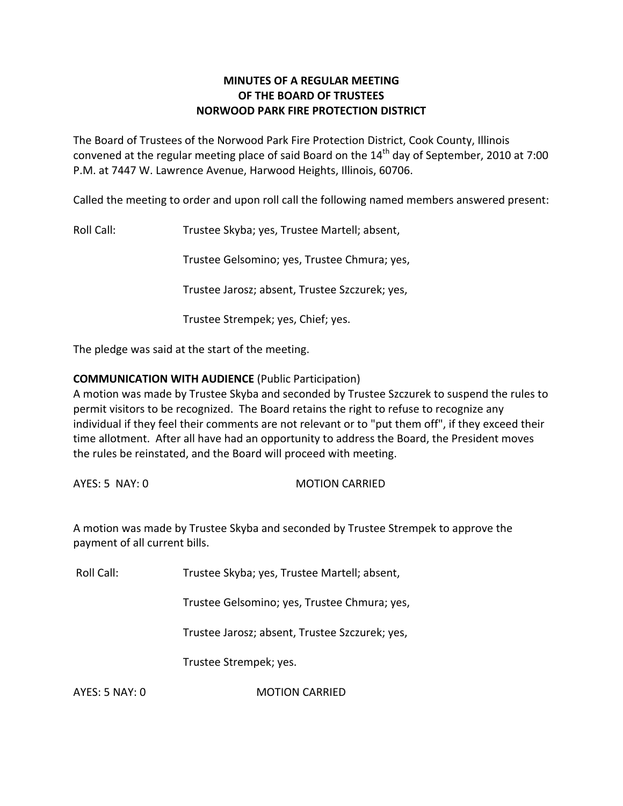# **MINUTES OF A REGULAR MEETING OF THE BOARD OF TRUSTEES NORWOOD PARK FIRE PROTECTION DISTRICT**

The Board of Trustees of the Norwood Park Fire Protection District, Cook County, Illinois convened at the regular meeting place of said Board on the  $14<sup>th</sup>$  day of September, 2010 at 7:00 P.M. at 7447 W. Lawrence Avenue, Harwood Heights, Illinois, 60706.

Called the meeting to order and upon roll call the following named members answered present:

Roll Call: Trustee Skyba; yes, Trustee Martell; absent,

Trustee Gelsomino; yes, Trustee Chmura; yes,

Trustee Jarosz; absent, Trustee Szczurek; yes,

Trustee Strempek; yes, Chief; yes.

The pledge was said at the start of the meeting.

# **COMMUNICATION WITH AUDIENCE** (Public Participation)

A motion was made by Trustee Skyba and seconded by Trustee Szczurek to suspend the rules to permit visitors to be recognized. The Board retains the right to refuse to recognize any individual if they feel their comments are not relevant or to "put them off", if they exceed their time allotment. After all have had an opportunity to address the Board, the President moves the rules be reinstated, and the Board will proceed with meeting.

AYES: 5 NAY: 0 MOTION CARRIED

A motion was made by Trustee Skyba and seconded by Trustee Strempek to approve the payment of all current bills.

Roll Call: Trustee Skyba; yes, Trustee Martell; absent,

Trustee Gelsomino; yes, Trustee Chmura; yes,

Trustee Jarosz; absent, Trustee Szczurek; yes,

Trustee Strempek; yes.

AYES: 5 NAY: 0 MOTION CARRIED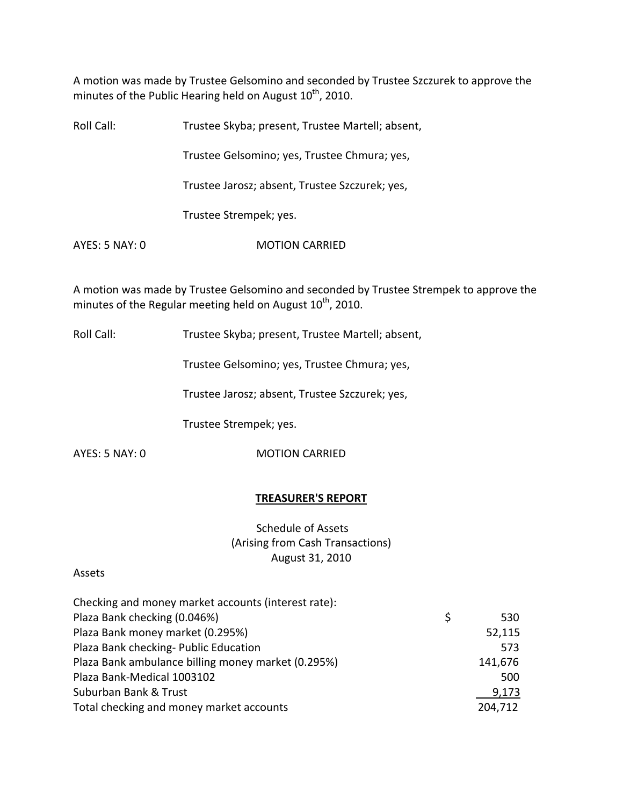A motion was made by Trustee Gelsomino and seconded by Trustee Szczurek to approve the minutes of the Public Hearing held on August  $10^{\text{th}}$ , 2010.

| Roll Call:     | Trustee Skyba; present, Trustee Martell; absent, |
|----------------|--------------------------------------------------|
|                | Trustee Gelsomino; yes, Trustee Chmura; yes,     |
|                | Trustee Jarosz; absent, Trustee Szczurek; yes,   |
|                | Trustee Strempek; yes.                           |
| AYES: 5 NAY: 0 | <b>MOTION CARRIED</b>                            |
|                |                                                  |

A motion was made by Trustee Gelsomino and seconded by Trustee Strempek to approve the minutes of the Regular meeting held on August  $10^{\text{th}}$ , 2010.

Roll Call: Trustee Skyba; present, Trustee Martell; absent,

Trustee Gelsomino; yes, Trustee Chmura; yes,

Trustee Jarosz; absent, Trustee Szczurek; yes,

Trustee Strempek; yes.

AYES: 5 NAY: 0 MOTION CARRIED

# **TREASURER'S REPORT**

Schedule of Assets (Arising from Cash Transactions) August 31, 2010

# Assets

| Checking and money market accounts (interest rate): |   |         |
|-----------------------------------------------------|---|---------|
| Plaza Bank checking (0.046%)                        | Ŝ | 530     |
| Plaza Bank money market (0.295%)                    |   | 52,115  |
| Plaza Bank checking- Public Education               |   | 573     |
| Plaza Bank ambulance billing money market (0.295%)  |   | 141,676 |
| Plaza Bank-Medical 1003102                          |   | 500     |
| Suburban Bank & Trust                               |   | 9,173   |
| Total checking and money market accounts            |   | 204,712 |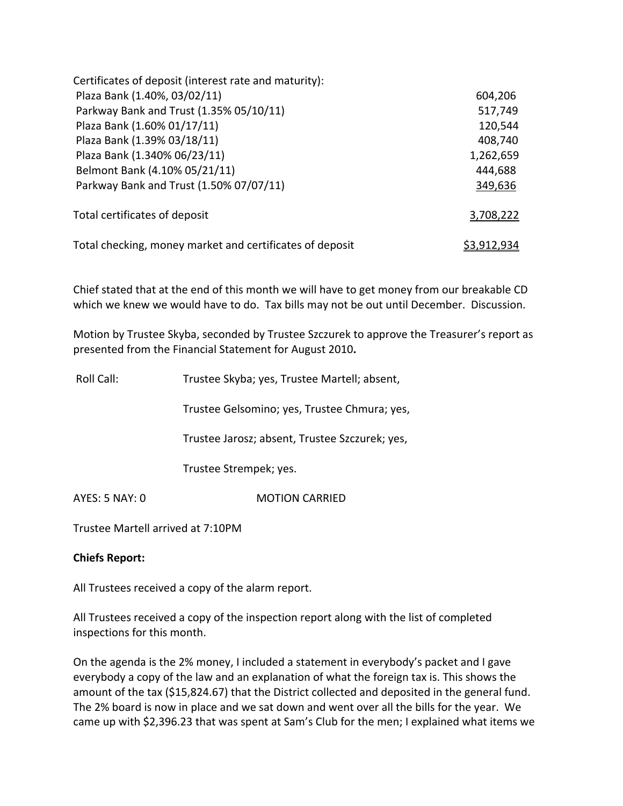| Certificates of deposit (interest rate and maturity):    |             |
|----------------------------------------------------------|-------------|
| Plaza Bank (1.40%, 03/02/11)                             | 604,206     |
| Parkway Bank and Trust (1.35% 05/10/11)                  | 517,749     |
| Plaza Bank (1.60% 01/17/11)                              | 120,544     |
| Plaza Bank (1.39% 03/18/11)                              | 408,740     |
| Plaza Bank (1.340% 06/23/11)                             | 1,262,659   |
| Belmont Bank (4.10% 05/21/11)                            | 444,688     |
| Parkway Bank and Trust (1.50% 07/07/11)                  | 349,636     |
| Total certificates of deposit                            | 3,708,222   |
| Total checking, money market and certificates of deposit | \$3,912,934 |

Chief stated that at the end of this month we will have to get money from our breakable CD which we knew we would have to do. Tax bills may not be out until December. Discussion.

Motion by Trustee Skyba, seconded by Trustee Szczurek to approve the Treasurer's report as presented from the Financial Statement for August 2010**.**

| Roll Call:     | Trustee Skyba; yes, Trustee Martell; absent,   |
|----------------|------------------------------------------------|
|                | Trustee Gelsomino; yes, Trustee Chmura; yes,   |
|                | Trustee Jarosz; absent, Trustee Szczurek; yes, |
|                | Trustee Strempek; yes.                         |
| AYES: 5 NAY: 0 | <b>MOTION CARRIFD</b>                          |

Trustee Martell arrived at 7:10PM

# **Chiefs Report:**

All Trustees received a copy of the alarm report.

All Trustees received a copy of the inspection report along with the list of completed inspections for this month.

On the agenda is the 2% money, I included a statement in everybody's packet and I gave everybody a copy of the law and an explanation of what the foreign tax is. This shows the amount of the tax (\$15,824.67) that the District collected and deposited in the general fund. The 2% board is now in place and we sat down and went over all the bills for the year. We came up with \$2,396.23 that was spent at Sam's Club for the men; I explained what items we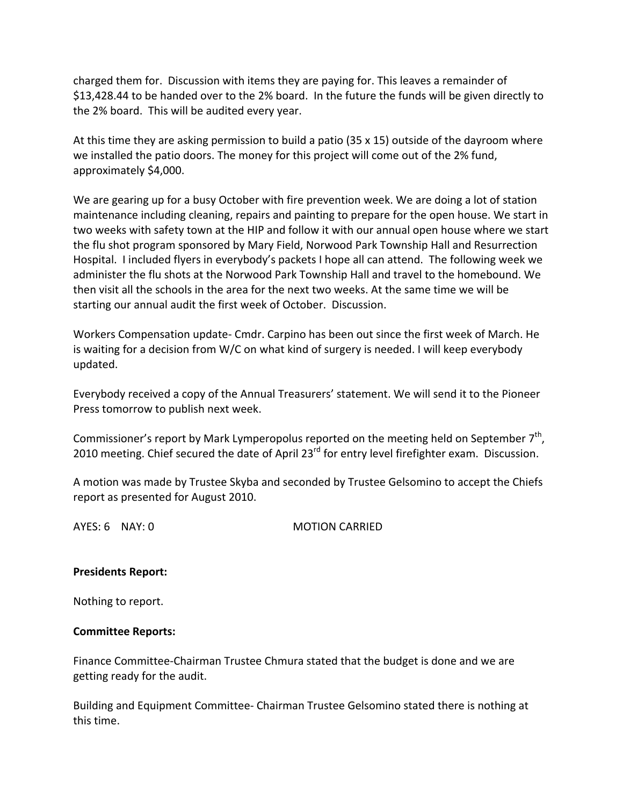charged them for. Discussion with items they are paying for. This leaves a remainder of \$13,428.44 to be handed over to the 2% board. In the future the funds will be given directly to the 2% board. This will be audited every year.

At this time they are asking permission to build a patio (35 x 15) outside of the dayroom where we installed the patio doors. The money for this project will come out of the 2% fund, approximately \$4,000.

We are gearing up for a busy October with fire prevention week. We are doing a lot of station maintenance including cleaning, repairs and painting to prepare for the open house. We start in two weeks with safety town at the HIP and follow it with our annual open house where we start the flu shot program sponsored by Mary Field, Norwood Park Township Hall and Resurrection Hospital. I included flyers in everybody's packets I hope all can attend. The following week we administer the flu shots at the Norwood Park Township Hall and travel to the homebound. We then visit all the schools in the area for the next two weeks. At the same time we will be starting our annual audit the first week of October. Discussion.

Workers Compensation update‐ Cmdr. Carpino has been out since the first week of March. He is waiting for a decision from W/C on what kind of surgery is needed. I will keep everybody updated.

Everybody received a copy of the Annual Treasurers' statement. We will send it to the Pioneer Press tomorrow to publish next week.

Commissioner's report by Mark Lymperopolus reported on the meeting held on September  $7<sup>th</sup>$ , 2010 meeting. Chief secured the date of April 23<sup>rd</sup> for entry level firefighter exam. Discussion.

A motion was made by Trustee Skyba and seconded by Trustee Gelsomino to accept the Chiefs report as presented for August 2010.

AYES: 6 NAY: 0 MOTION CARRIED

# **Presidents Report:**

Nothing to report.

#### **Committee Reports:**

Finance Committee‐Chairman Trustee Chmura stated that the budget is done and we are getting ready for the audit.

Building and Equipment Committee‐ Chairman Trustee Gelsomino stated there is nothing at this time.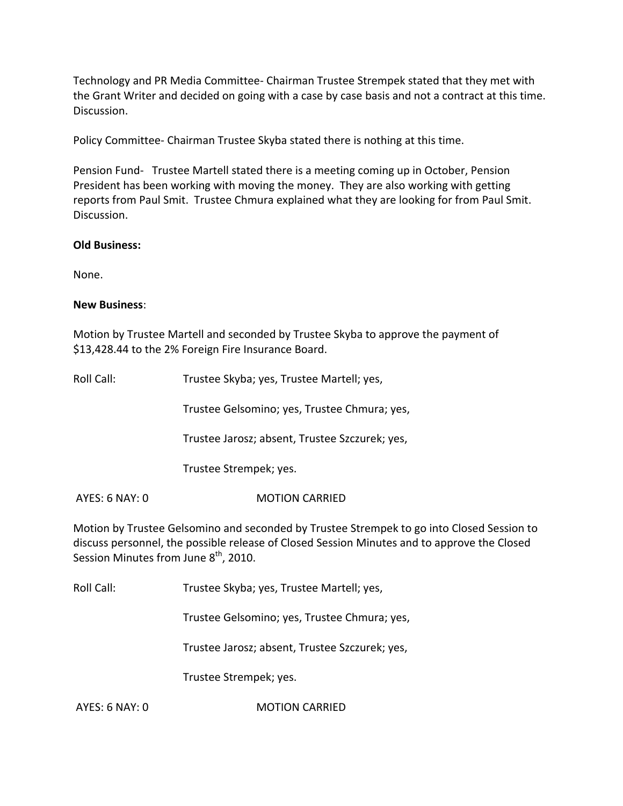Technology and PR Media Committee‐ Chairman Trustee Strempek stated that they met with the Grant Writer and decided on going with a case by case basis and not a contract at this time. Discussion.

Policy Committee‐ Chairman Trustee Skyba stated there is nothing at this time.

Pension Fund- Trustee Martell stated there is a meeting coming up in October, Pension President has been working with moving the money. They are also working with getting reports from Paul Smit. Trustee Chmura explained what they are looking for from Paul Smit. Discussion.

## **Old Business:**

None.

## **New Business**:

Motion by Trustee Martell and seconded by Trustee Skyba to approve the payment of \$13,428.44 to the 2% Foreign Fire Insurance Board.

| Roll Call: | Trustee Skyba; yes, Trustee Martell; yes,      |
|------------|------------------------------------------------|
|            | Trustee Gelsomino; yes, Trustee Chmura; yes,   |
|            | Trustee Jarosz; absent, Trustee Szczurek; yes, |
|            | Trustee Strempek; yes.                         |
|            |                                                |

AYES: 6 NAY: 0 MOTION CARRIED

Motion by Trustee Gelsomino and seconded by Trustee Strempek to go into Closed Session to discuss personnel, the possible release of Closed Session Minutes and to approve the Closed Session Minutes from June 8<sup>th</sup>, 2010.

Roll Call: Trustee Skyba; yes, Trustee Martell; yes,

Trustee Gelsomino; yes, Trustee Chmura; yes,

Trustee Jarosz; absent, Trustee Szczurek; yes,

Trustee Strempek; yes.

AYES: 6 NAY: 0 **MOTION CARRIED**